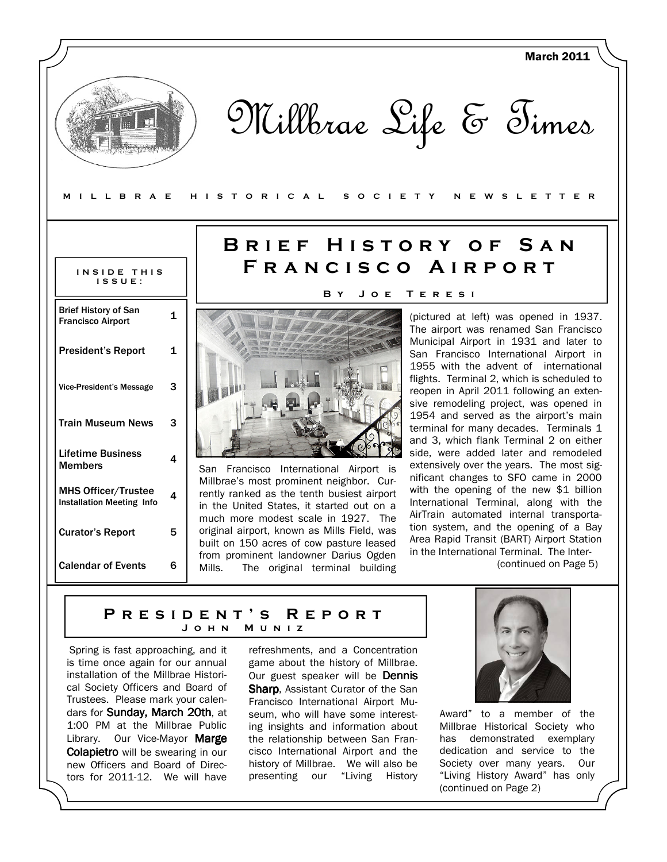| <b>MILLBRAE</b>                                                                                                                                                                            |              | <b>March 2011</b><br>Millbrae Life & Times<br>H I S T O R I C A L<br>S O C I E T Y<br>N E W S L E T T E R                                                                                                                                                                                                                                                                                                                                                                                                                                                                                                   |
|--------------------------------------------------------------------------------------------------------------------------------------------------------------------------------------------|--------------|-------------------------------------------------------------------------------------------------------------------------------------------------------------------------------------------------------------------------------------------------------------------------------------------------------------------------------------------------------------------------------------------------------------------------------------------------------------------------------------------------------------------------------------------------------------------------------------------------------------|
| INSIDE THIS<br>$IS$ $S$ $U$ $E$ :                                                                                                                                                          |              | BRIEF HISTORY OF SAN<br>FRANCISCO AIRPORT<br>ВY<br>JOE<br>TERESI                                                                                                                                                                                                                                                                                                                                                                                                                                                                                                                                            |
| <b>Brief History of San</b>                                                                                                                                                                | 1            | (pictured at left) was opened in 1937.                                                                                                                                                                                                                                                                                                                                                                                                                                                                                                                                                                      |
| <b>Francisco Airport</b><br><b>President's Report</b>                                                                                                                                      | $\mathbf{1}$ | The airport was renamed San Francisco<br>Municipal Airport in 1931 and later to<br>San Francisco International Airport in<br>1955 with the advent of international<br>flights. Terminal 2, which is scheduled to<br>reopen in April 2011 following an exten-<br>sive remodeling project, was opened in<br>1954 and served as the airport's main<br>terminal for many decades. Terminals 1<br>and 3, which flank Terminal 2 on either<br>side, were added later and remodeled<br>extensively over the years. The most sig-<br>San Francisco International Airport is<br>nificant changes to SFO came in 2000 |
| <b>Vice-President's Message</b><br><b>Train Museum News</b>                                                                                                                                | 3<br>3       |                                                                                                                                                                                                                                                                                                                                                                                                                                                                                                                                                                                                             |
| <b>Lifetime Business</b><br><b>Members</b>                                                                                                                                                 | 4            |                                                                                                                                                                                                                                                                                                                                                                                                                                                                                                                                                                                                             |
| <b>MHS Officer/Trustee</b><br><b>Installation Meeting Info</b>                                                                                                                             | 4            | Millbrae's most prominent neighbor. Cur-<br>with the opening of the new \$1 billion<br>rently ranked as the tenth busiest airport<br>International Terminal, along with the<br>in the United States, it started out on a<br>AirTrain automated internal transporta-                                                                                                                                                                                                                                                                                                                                         |
| <b>Curator's Report</b>                                                                                                                                                                    | 5            | much more modest scale in 1927. The<br>tion system, and the opening of a Bay<br>original airport, known as Mills Field, was<br>Area Rapid Transit (BART) Airport Station<br>built on 150 acres of cow pasture leased<br>in the International Terminal. The Inter-                                                                                                                                                                                                                                                                                                                                           |
| <b>Calendar of Events</b>                                                                                                                                                                  | 6            | from prominent landowner Darius Ogden<br>(continued on Page 5)<br>Mills.<br>The original terminal building                                                                                                                                                                                                                                                                                                                                                                                                                                                                                                  |
|                                                                                                                                                                                            |              | REPORT<br>PRESIDENT'S<br>Jонм<br>MUNIZ                                                                                                                                                                                                                                                                                                                                                                                                                                                                                                                                                                      |
| Spring is fast approaching, and it<br>is time once again for our annual<br>installation of the Millbrae Histori-<br>cal Society Officers and Board of<br>Trustees. Please mark your calen- |              | refreshments, and a Concentration<br>game about the history of Millbrae.<br>Our guest speaker will be Dennis<br><b>Sharp, Assistant Curator of the San</b><br>Francisco International Airport Mu-                                                                                                                                                                                                                                                                                                                                                                                                           |

seum, who will have some interesting insights and information about the relationship between San Francisco International Airport and the history of Millbrae. We will also be presenting our "Living History

dars for Sunday, March 20th, at 1:00 PM at the Millbrae Public Library. Our Vice-Mayor Marge Colapietro will be swearing in our new Officers and Board of Directors for 2011-12. We will have

Award" to a member of the Millbrae Historical Society who has demonstrated exemplary dedication and service to the Society over many years. Our "Living History Award" has only (continued on Page 2)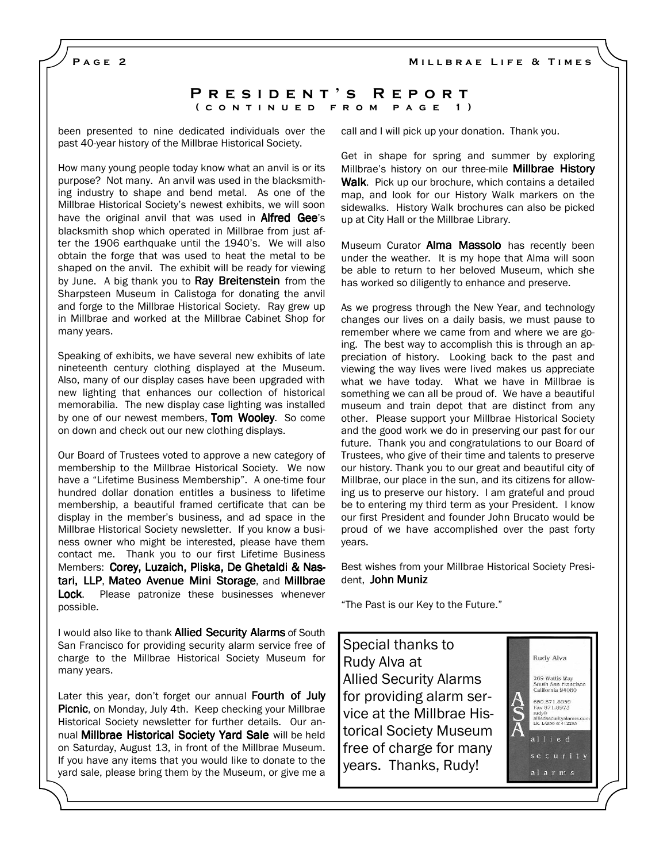PAGE<sub>2</sub>

### PRESIDENT'S REPORT ( CONTINUED FROM PAGE 1)

been presented to nine dedicated individuals over the past 40-year history of the Millbrae Historical Society.

How many young people today know what an anvil is or its purpose? Not many. An anvil was used in the blacksmithing industry to shape and bend metal. As one of the Millbrae Historical Society's newest exhibits, we will soon have the original anvil that was used in **Alfred Gee**'s blacksmith shop which operated in Millbrae from just after the 1906 earthquake until the 1940's. We will also obtain the forge that was used to heat the metal to be shaped on the anvil. The exhibit will be ready for viewing by June. A big thank you to Ray Breitenstein from the Sharpsteen Museum in Calistoga for donating the anvil and forge to the Millbrae Historical Society. Ray grew up in Millbrae and worked at the Millbrae Cabinet Shop for many years.

Speaking of exhibits, we have several new exhibits of late nineteenth century clothing displayed at the Museum. Also, many of our display cases have been upgraded with new lighting that enhances our collection of historical memorabilia. The new display case lighting was installed by one of our newest members, Tom Wooley. So come on down and check out our new clothing displays.

Our Board of Trustees voted to approve a new category of membership to the Millbrae Historical Society. We now have a "Lifetime Business Membership". A one-time four hundred dollar donation entitles a business to lifetime membership, a beautiful framed certificate that can be display in the member's business, and ad space in the Millbrae Historical Society newsletter. If you know a business owner who might be interested, please have them contact me. Thank you to our first Lifetime Business Members: Corey, Luzaich, Pliska, De Ghetaldi & Nastari, LLP, Mateo Avenue Mini Storage, and Millbrae Lock. Please patronize these businesses whenever possible.

I would also like to thank **Allied Security Alarms** of South San Francisco for providing security alarm service free of charge to the Millbrae Historical Society Museum for many years.

Later this year, don't forget our annual Fourth of July **Picnic**, on Monday, July 4th. Keep checking your Millbrae Historical Society newsletter for further details. Our annual Millbrae Historical Society Yard Sale will be held on Saturday, August 13, in front of the Millbrae Museum. If you have any items that you would like to donate to the yard sale, please bring them by the Museum, or give me a

call and I will pick up your donation. Thank you.

Get in shape for spring and summer by exploring Millbrae's history on our three-mile **Millbrae History** Walk. Pick up our brochure, which contains a detailed map, and look for our History Walk markers on the sidewalks. History Walk brochures can also be picked up at City Hall or the Millbrae Library.

Museum Curator Alma Massolo has recently been under the weather. It is my hope that Alma will soon be able to return to her beloved Museum, which she has worked so diligently to enhance and preserve.

As we progress through the New Year, and technology changes our lives on a daily basis, we must pause to remember where we came from and where we are going. The best way to accomplish this is through an appreciation of history. Looking back to the past and viewing the way lives were lived makes us appreciate what we have today. What we have in Millbrae is something we can all be proud of. We have a beautiful museum and train depot that are distinct from any other. Please support your Millbrae Historical Society and the good work we do in preserving our past for our future. Thank you and congratulations to our Board of Trustees, who give of their time and talents to preserve our history. Thank you to our great and beautiful city of Millbrae, our place in the sun, and its citizens for allowing us to preserve our history. I am grateful and proud be to entering my third term as your President. I know our first President and founder John Brucato would be proud of we have accomplished over the past forty years.

Best wishes from your Millbrae Historical Society President, John Muniz

"The Past is our Key to the Future."

Special thanks to Rudy Alva at Allied Security Alarms for providing alarm service at the Millbrae Historical Society Museum free of charge for many years. Thanks, Rudy!



alarms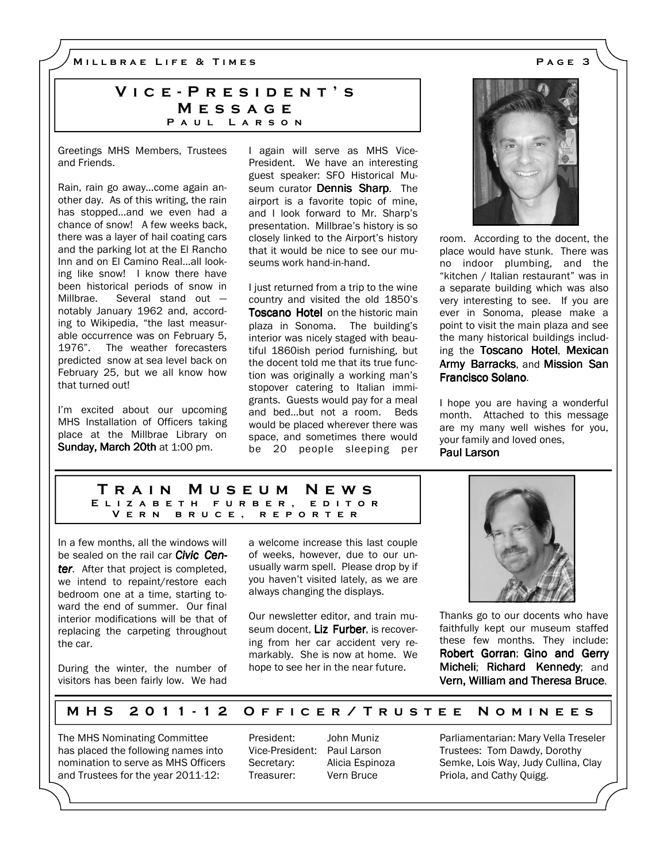M I L L B R A E L I F E & T I M E S A G E 3

# VICE - PRESIDENT'S **MESSAGE** PAUL LARSON

Greetings MHS Members, Trustees and Friends.

Rain, rain go away…come again another day. As of this writing, the rain has stopped…and we even had a chance of snow! A few weeks back, there was a layer of hail coating cars and the parking lot at the El Rancho Inn and on El Camino Real…all looking like snow! I know there have been historical periods of snow in Millbrae. Several stand out notably January 1962 and, according to Wikipedia, "the last measurable occurrence was on February 5, 1976". The weather forecasters predicted snow at sea level back on February 25, but we all know how that turned out!

I'm excited about our upcoming MHS Installation of Officers taking place at the Millbrae Library on Sunday, March 20th at 1:00 pm.

I again will serve as MHS Vice-President. We have an interesting guest speaker: SFO Historical Museum curator **Dennis Sharp**. The airport is a favorite topic of mine, and I look forward to Mr. Sharp's presentation. Millbrae's history is so closely linked to the Airport's history that it would be nice to see our museums work hand-in-hand.

I just returned from a trip to the wine country and visited the old 1850's **Toscano Hotel** on the historic main plaza in Sonoma. The building's interior was nicely staged with beautiful 1860ish period furnishing, but the docent told me that its true function was originally a working man's stopover catering to Italian immigrants. Guests would pay for a meal and bed…but not a room. Beds would be placed wherever there was space, and sometimes there would be 20 people sleeping per



room. According to the docent, the place would have stunk. There was no indoor plumbing, and the "kitchen / Italian restaurant" was in a separate building which was also very interesting to see. If you are ever in Sonoma, please make a point to visit the main plaza and see the many historical buildings including the Toscano Hotel, Mexican Army Barracks, and Mission San Francisco Solano.

I hope you are having a wonderful month. Attached to this message are my many well wishes for you, your family and loved ones, Paul Larson

#### T r a i n M u s e u m N e w s E L I Z A B E T H F U R B E R , E D I T O R V E R N B R U C E , R E P O R T E R

In a few months, all the windows will be sealed on the rail car **Civic Cen**ter. After that project is completed, we intend to repaint/restore each bedroom one at a time, starting toward the end of summer. Our final interior modifications will be that of replacing the carpeting throughout the car.

During the winter, the number of visitors has been fairly low. We had

a welcome increase this last couple of weeks, however, due to our unusually warm spell. Please drop by if you haven't visited lately, as we are always changing the displays.

Our newsletter editor, and train museum docent. Liz Furber, is recovering from her car accident very remarkably. She is now at home. We hope to see her in the near future.



Thanks go to our docents who have faithfully kept our museum staffed these few months. They include: Robert Gorran; Gino and Gerry Micheli; Richard Kennedy; and Vern, William and Theresa Bruce.

## M H S 2011-12 O F FICE R / T R U S T E E N O M I N E E S

The MHS Nominating Committee has placed the following names into nomination to serve as MHS Officers and Trustees for the year 2011-12:

President: John Muniz Vice-President: Paul Larson Secretary: Alicia Espinoza Treasurer: Vern Bruce

Parliamentarian: Mary Vella Treseler Trustees: Tom Dawdy, Dorothy Semke, Lois Way, Judy Cullina, Clay Priola, and Cathy Quigg.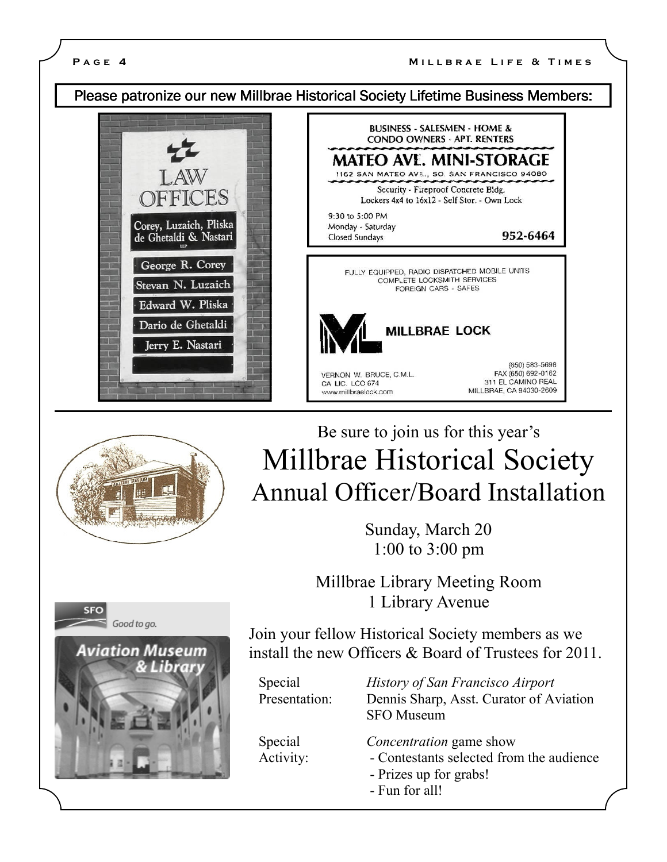# Please patronize our new Millbrae Historical Society Lifetime Business Members:









Sunday, March 20 1:00 to 3:00 pm

Millbrae Library Meeting Room 1 Library Avenue



Join your fellow Historical Society members as we install the new Officers & Board of Trustees for 2011.

Special *History of San Francisco Airport* Presentation: Dennis Sharp, Asst. Curator of Aviation SFO Museum

Special Concentration game show

- Activity: Contestants selected from the audience
	- Prizes up for grabs!
	- Fun for all!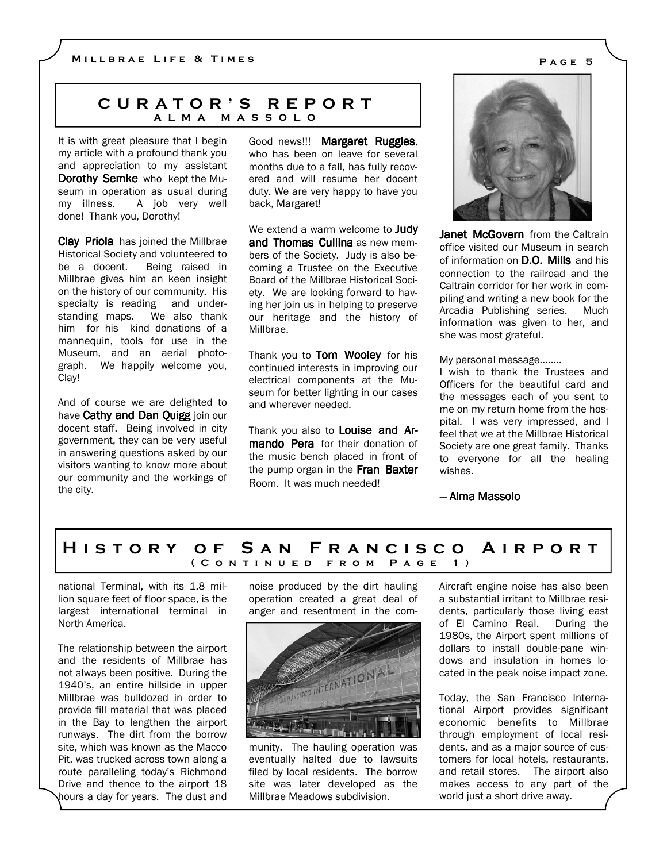## C U R A T O R ' S R E P O R T A L M A M A S S O L O

It is with great pleasure that I begin my article with a profound thank you and appreciation to my assistant Dorothy Semke who kept the Museum in operation as usual during my illness. A job very well done! Thank you, Dorothy!

Clay Priola has joined the Millbrae Historical Society and volunteered to be a docent. Being raised in Millbrae gives him an keen insight on the history of our community. His specialty is reading and understanding maps. We also thank him for his kind donations of a mannequin, tools for use in the Museum, and an aerial photograph. We happily welcome you, Clay!

And of course we are delighted to have Cathy and Dan Quigg join our docent staff. Being involved in city government, they can be very useful in answering questions asked by our visitors wanting to know more about our community and the workings of the city.

Good news!!! Margaret Ruggles, who has been on leave for several months due to a fall, has fully recovered and will resume her docent duty. We are very happy to have you back, Margaret!

We extend a warm welcome to **Judy** and Thomas Cullina as new members of the Society. Judy is also becoming a Trustee on the Executive Board of the Millbrae Historical Society. We are looking forward to having her join us in helping to preserve our heritage and the history of Millbrae.

Thank you to Tom Wooley for his continued interests in improving our electrical components at the Museum for better lighting in our cases and wherever needed.

Thank you also to Louise and Armando Pera for their donation of the music bench placed in front of the pump organ in the Fran Baxter Room. It was much needed!



Janet McGovern from the Caltrain office visited our Museum in search of information on **D.O. Mills** and his connection to the railroad and the Caltrain corridor for her work in compiling and writing a new book for the Arcadia Publishing series. Much information was given to her, and she was most grateful.

### My personal message........

I wish to thank the Trustees and Officers for the beautiful card and the messages each of you sent to me on my return home from the hospital. I was very impressed, and I feel that we at the Millbrae Historical Society are one great family. Thanks to everyone for all the healing wishes.

— Alma Massolo

## HISTORY OF SAN FRANCISCO AIRPORT ( CONTINUED FROM PAGE 1)

national Terminal, with its 1.8 million square feet of floor space, is the largest international terminal in North America.

The relationship between the airport and the residents of Millbrae has not always been positive. During the 1940's, an entire hillside in upper Millbrae was bulldozed in order to provide fill material that was placed in the Bay to lengthen the airport runways. The dirt from the borrow site, which was known as the Macco Pit, was trucked across town along a route paralleling today's Richmond Drive and thence to the airport 18 hours a day for years. The dust and

noise produced by the dirt hauling operation created a great deal of anger and resentment in the com-



munity. The hauling operation was eventually halted due to lawsuits filed by local residents. The borrow site was later developed as the Millbrae Meadows subdivision.

Aircraft engine noise has also been a substantial irritant to Millbrae residents, particularly those living east of El Camino Real. During the 1980s, the Airport spent millions of dollars to install double-pane windows and insulation in homes located in the peak noise impact zone.

Today, the San Francisco International Airport provides significant economic benefits to Millbrae through employment of local residents, and as a major source of customers for local hotels, restaurants, and retail stores. The airport also makes access to any part of the world just a short drive away.